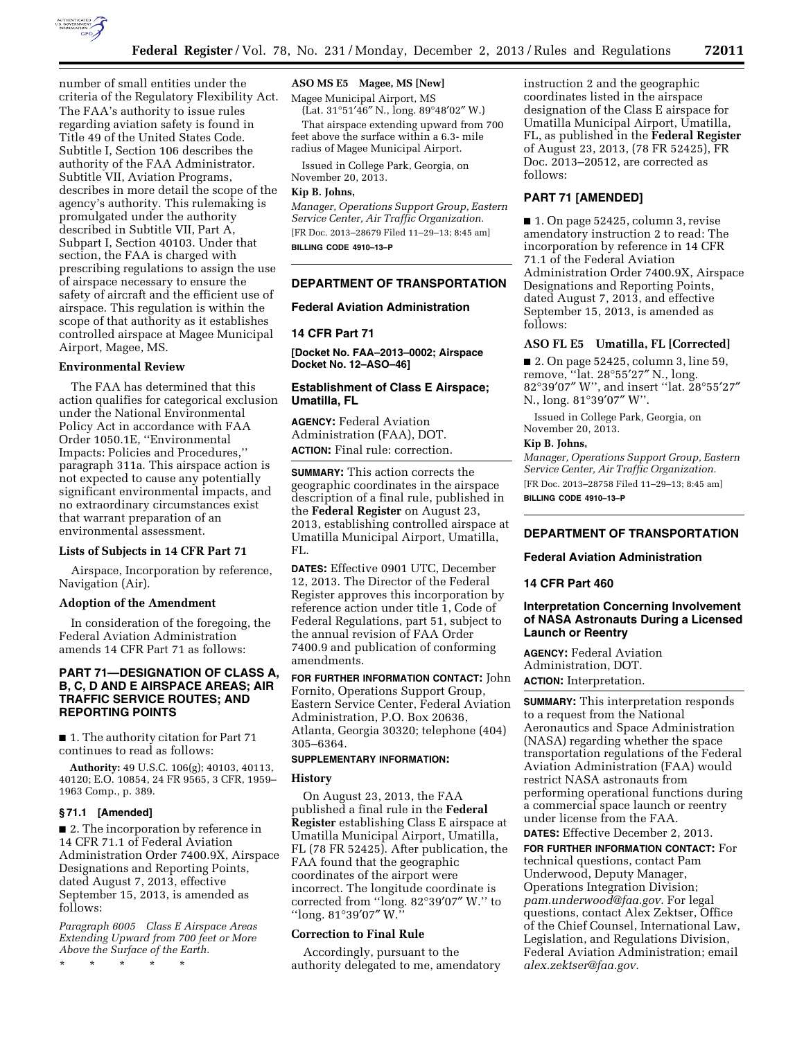

number of small entities under the criteria of the Regulatory Flexibility Act. The FAA's authority to issue rules regarding aviation safety is found in Title 49 of the United States Code. Subtitle I, Section 106 describes the authority of the FAA Administrator. Subtitle VII, Aviation Programs, describes in more detail the scope of the agency's authority. This rulemaking is promulgated under the authority described in Subtitle VII, Part A, Subpart I, Section 40103. Under that section, the FAA is charged with prescribing regulations to assign the use of airspace necessary to ensure the safety of aircraft and the efficient use of airspace. This regulation is within the scope of that authority as it establishes controlled airspace at Magee Municipal Airport, Magee, MS.

## **Environmental Review**

The FAA has determined that this action qualifies for categorical exclusion under the National Environmental Policy Act in accordance with FAA Order 1050.1E, ''Environmental Impacts: Policies and Procedures,'' paragraph 311a. This airspace action is not expected to cause any potentially significant environmental impacts, and no extraordinary circumstances exist that warrant preparation of an environmental assessment.

#### **Lists of Subjects in 14 CFR Part 71**

Airspace, Incorporation by reference, Navigation (Air).

#### **Adoption of the Amendment**

In consideration of the foregoing, the Federal Aviation Administration amends 14 CFR Part 71 as follows:

# **PART 71—DESIGNATION OF CLASS A, B, C, D AND E AIRSPACE AREAS; AIR TRAFFIC SERVICE ROUTES; AND REPORTING POINTS**

■ 1. The authority citation for Part 71 continues to read as follows:

**Authority:** 49 U.S.C. 106(g); 40103, 40113, 40120; E.O. 10854, 24 FR 9565, 3 CFR, 1959– 1963 Comp., p. 389.

#### **§ 71.1 [Amended]**

■ 2. The incorporation by reference in 14 CFR 71.1 of Federal Aviation Administration Order 7400.9X, Airspace Designations and Reporting Points, dated August 7, 2013, effective September 15, 2013, is amended as follows:

*Paragraph 6005 Class E Airspace Areas Extending Upward from 700 feet or More Above the Surface of the Earth.* 

\* \* \* \* \*

# **ASO MS E5 Magee, MS [New]**

Magee Municipal Airport, MS (Lat. 31°51′46″ N., long. 89°48′02″ W.) That airspace extending upward from 700 feet above the surface within a 6.3- mile radius of Magee Municipal Airport.

Issued in College Park, Georgia, on November 20, 2013.

#### **Kip B. Johns,**

*Manager, Operations Support Group, Eastern Service Center, Air Traffic Organization.*  [FR Doc. 2013–28679 Filed 11–29–13; 8:45 am] **BILLING CODE 4910–13–P** 

## **DEPARTMENT OF TRANSPORTATION**

#### **Federal Aviation Administration**

## **14 CFR Part 71**

**[Docket No. FAA–2013–0002; Airspace Docket No. 12–ASO–46]** 

# **Establishment of Class E Airspace; Umatilla, FL**

**AGENCY:** Federal Aviation Administration (FAA), DOT. **ACTION:** Final rule: correction.

**SUMMARY:** This action corrects the geographic coordinates in the airspace description of a final rule, published in the **Federal Register** on August 23, 2013, establishing controlled airspace at Umatilla Municipal Airport, Umatilla, FL.

**DATES:** Effective 0901 UTC, December 12, 2013. The Director of the Federal Register approves this incorporation by reference action under title 1, Code of Federal Regulations, part 51, subject to the annual revision of FAA Order 7400.9 and publication of conforming amendments.

**FOR FURTHER INFORMATION CONTACT:** John Fornito, Operations Support Group, Eastern Service Center, Federal Aviation Administration, P.O. Box 20636, Atlanta, Georgia 30320; telephone (404) 305–6364.

## **SUPPLEMENTARY INFORMATION:**

#### **History**

On August 23, 2013, the FAA published a final rule in the **Federal Register** establishing Class E airspace at Umatilla Municipal Airport, Umatilla, FL (78 FR 52425). After publication, the FAA found that the geographic coordinates of the airport were incorrect. The longitude coordinate is corrected from ''long. 82°39′07″ W.'' to ''long. 81°39′07″ W.''

## **Correction to Final Rule**

Accordingly, pursuant to the authority delegated to me, amendatory instruction 2 and the geographic coordinates listed in the airspace designation of the Class E airspace for Umatilla Municipal Airport, Umatilla, FL, as published in the **Federal Register**  of August 23, 2013, (78 FR 52425), FR Doc. 2013–20512, are corrected as follows:

#### **PART 71 [AMENDED]**

■ 1. On page 52425, column 3, revise amendatory instruction 2 to read: The incorporation by reference in 14 CFR 71.1 of the Federal Aviation Administration Order 7400.9X, Airspace Designations and Reporting Points, dated August 7, 2013, and effective September 15, 2013, is amended as follows:

## **ASO FL E5 Umatilla, FL [Corrected]**

■ 2. On page 52425, column 3, line 59, remove, ''lat. 28°55′27″ N., long. 82°39′07″ W'', and insert ''lat. 28°55′27″ N., long. 81°39′07″ W''.

Issued in College Park, Georgia, on November 20, 2013.

#### **Kip B. Johns,**

*Manager, Operations Support Group, Eastern Service Center, Air Traffic Organization.* 

[FR Doc. 2013–28758 Filed 11–29–13; 8:45 am] **BILLING CODE 4910–13–P** 

## **DEPARTMENT OF TRANSPORTATION**

#### **Federal Aviation Administration**

**14 CFR Part 460** 

## **Interpretation Concerning Involvement of NASA Astronauts During a Licensed Launch or Reentry**

**AGENCY:** Federal Aviation Administration, DOT. **ACTION:** Interpretation.

**SUMMARY:** This interpretation responds to a request from the National Aeronautics and Space Administration (NASA) regarding whether the space transportation regulations of the Federal Aviation Administration (FAA) would restrict NASA astronauts from performing operational functions during a commercial space launch or reentry under license from the FAA.

**DATES:** Effective December 2, 2013.

**FOR FURTHER INFORMATION CONTACT:** For technical questions, contact Pam Underwood, Deputy Manager, Operations Integration Division; *[pam.underwood@faa.gov.](mailto:pam.underwood@faa.gov)* For legal questions, contact Alex Zektser, Office of the Chief Counsel, International Law, Legislation, and Regulations Division, Federal Aviation Administration; email *[alex.zektser@faa.gov.](mailto:alex.zektser@faa.gov)*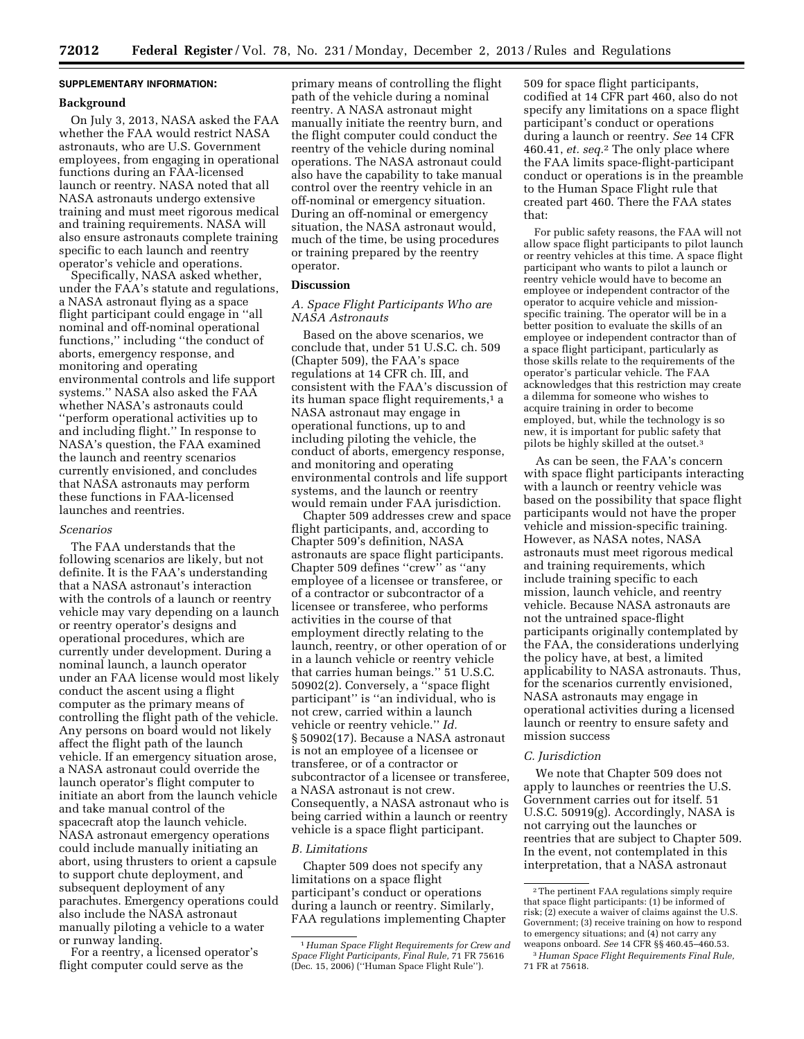# **SUPPLEMENTARY INFORMATION:**

#### **Background**

On July 3, 2013, NASA asked the FAA whether the FAA would restrict NASA astronauts, who are U.S. Government employees, from engaging in operational functions during an FAA-licensed launch or reentry. NASA noted that all NASA astronauts undergo extensive training and must meet rigorous medical and training requirements. NASA will also ensure astronauts complete training specific to each launch and reentry operator's vehicle and operations.

Specifically, NASA asked whether, under the FAA's statute and regulations, a NASA astronaut flying as a space flight participant could engage in ''all nominal and off-nominal operational functions,'' including ''the conduct of aborts, emergency response, and monitoring and operating environmental controls and life support systems.'' NASA also asked the FAA whether NASA's astronauts could ''perform operational activities up to and including flight.'' In response to NASA's question, the FAA examined the launch and reentry scenarios currently envisioned, and concludes that NASA astronauts may perform these functions in FAA-licensed launches and reentries.

## *Scenarios*

The FAA understands that the following scenarios are likely, but not definite. It is the FAA's understanding that a NASA astronaut's interaction with the controls of a launch or reentry vehicle may vary depending on a launch or reentry operator's designs and operational procedures, which are currently under development. During a nominal launch, a launch operator under an FAA license would most likely conduct the ascent using a flight computer as the primary means of controlling the flight path of the vehicle. Any persons on board would not likely affect the flight path of the launch vehicle. If an emergency situation arose, a NASA astronaut could override the launch operator's flight computer to initiate an abort from the launch vehicle and take manual control of the spacecraft atop the launch vehicle. NASA astronaut emergency operations could include manually initiating an abort, using thrusters to orient a capsule to support chute deployment, and subsequent deployment of any parachutes. Emergency operations could also include the NASA astronaut manually piloting a vehicle to a water or runway landing.

For a reentry, a licensed operator's flight computer could serve as the

primary means of controlling the flight path of the vehicle during a nominal reentry. A NASA astronaut might manually initiate the reentry burn, and the flight computer could conduct the reentry of the vehicle during nominal operations. The NASA astronaut could also have the capability to take manual control over the reentry vehicle in an off-nominal or emergency situation. During an off-nominal or emergency situation, the NASA astronaut would, much of the time, be using procedures or training prepared by the reentry operator.

#### **Discussion**

## *A. Space Flight Participants Who are NASA Astronauts*

Based on the above scenarios, we conclude that, under 51 U.S.C. ch. 509 (Chapter 509), the FAA's space regulations at 14 CFR ch. III, and consistent with the FAA's discussion of its human space flight requirements,<sup>1</sup> a NASA astronaut may engage in operational functions, up to and including piloting the vehicle, the conduct of aborts, emergency response, and monitoring and operating environmental controls and life support systems, and the launch or reentry would remain under FAA jurisdiction.

Chapter 509 addresses crew and space flight participants, and, according to Chapter 509's definition, NASA astronauts are space flight participants. Chapter 509 defines ''crew'' as ''any employee of a licensee or transferee, or of a contractor or subcontractor of a licensee or transferee, who performs activities in the course of that employment directly relating to the launch, reentry, or other operation of or in a launch vehicle or reentry vehicle that carries human beings.'' 51 U.S.C. 50902(2). Conversely, a ''space flight participant'' is ''an individual, who is not crew, carried within a launch vehicle or reentry vehicle.'' *Id.*  § 50902(17). Because a NASA astronaut is not an employee of a licensee or transferee, or of a contractor or subcontractor of a licensee or transferee, a NASA astronaut is not crew. Consequently, a NASA astronaut who is being carried within a launch or reentry vehicle is a space flight participant.

#### *B. Limitations*

Chapter 509 does not specify any limitations on a space flight participant's conduct or operations during a launch or reentry. Similarly, FAA regulations implementing Chapter

509 for space flight participants, codified at 14 CFR part 460, also do not specify any limitations on a space flight participant's conduct or operations during a launch or reentry. *See* 14 CFR 460.41, *et. seq.*2 The only place where the FAA limits space-flight-participant conduct or operations is in the preamble to the Human Space Flight rule that created part 460. There the FAA states that:

For public safety reasons, the FAA will not allow space flight participants to pilot launch or reentry vehicles at this time. A space flight participant who wants to pilot a launch or reentry vehicle would have to become an employee or independent contractor of the operator to acquire vehicle and missionspecific training. The operator will be in a better position to evaluate the skills of an employee or independent contractor than of a space flight participant, particularly as those skills relate to the requirements of the operator's particular vehicle. The FAA acknowledges that this restriction may create a dilemma for someone who wishes to acquire training in order to become employed, but, while the technology is so new, it is important for public safety that pilots be highly skilled at the outset.3

As can be seen, the FAA's concern with space flight participants interacting with a launch or reentry vehicle was based on the possibility that space flight participants would not have the proper vehicle and mission-specific training. However, as NASA notes, NASA astronauts must meet rigorous medical and training requirements, which include training specific to each mission, launch vehicle, and reentry vehicle. Because NASA astronauts are not the untrained space-flight participants originally contemplated by the FAA, the considerations underlying the policy have, at best, a limited applicability to NASA astronauts. Thus, for the scenarios currently envisioned, NASA astronauts may engage in operational activities during a licensed launch or reentry to ensure safety and mission success

#### *C. Jurisdiction*

We note that Chapter 509 does not apply to launches or reentries the U.S. Government carries out for itself. 51 U.S.C. 50919(g). Accordingly, NASA is not carrying out the launches or reentries that are subject to Chapter 509. In the event, not contemplated in this interpretation, that a NASA astronaut

<sup>1</sup>*Human Space Flight Requirements for Crew and Space Flight Participants, Final Rule,* 71 FR 75616 (Dec. 15, 2006) (''Human Space Flight Rule'').

<sup>2</sup>The pertinent FAA regulations simply require that space flight participants: (1) be informed of risk; (2) execute a waiver of claims against the U.S. Government; (3) receive training on how to respond to emergency situations; and (4) not carry any weapons onboard. *See* 14 CFR §§ 460.45–460.53.

<sup>3</sup>*Human Space Flight Requirements Final Rule,*  71 FR at 75618.